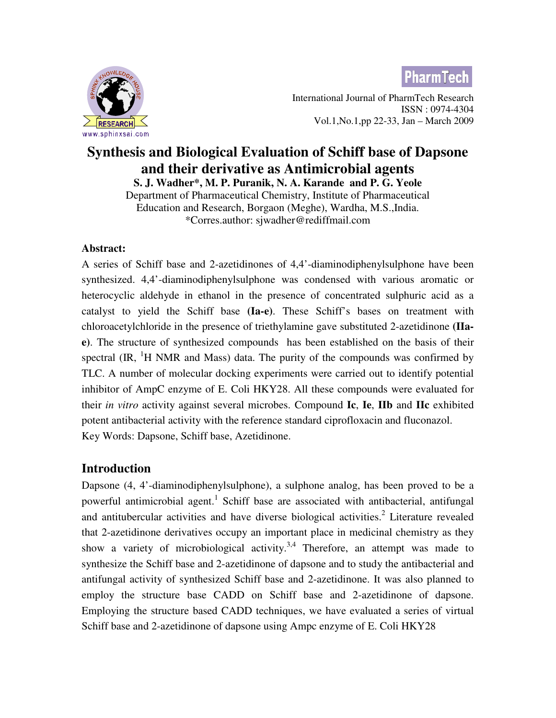**PharmTech** 



 International Journal of PharmTech Research ISSN : 0974-4304 Vol.1,No.1,pp 22-33, Jan – March 2009

# **Synthesis and Biological Evaluation of Schiff base of Dapsone and their derivative as Antimicrobial agents**

**S. J. Wadher\*, M. P. Puranik, N. A. Karande and P. G. Yeole**  Department of Pharmaceutical Chemistry, Institute of Pharmaceutical

Education and Research, Borgaon (Meghe), Wardha, M.S.,India. \*Corres.author: sjwadher@rediffmail.com

### **Abstract:**

A series of Schiff base and 2-azetidinones of 4,4'-diaminodiphenylsulphone have been synthesized. 4,4'-diaminodiphenylsulphone was condensed with various aromatic or heterocyclic aldehyde in ethanol in the presence of concentrated sulphuric acid as a catalyst to yield the Schiff base **(Ia-e)**. These Schiff's bases on treatment with chloroacetylchloride in the presence of triethylamine gave substituted 2-azetidinone **(IIae)**. The structure of synthesized compounds has been established on the basis of their spectral  $(\text{IR}, \text{H NMR}$  and Mass) data. The purity of the compounds was confirmed by TLC. A number of molecular docking experiments were carried out to identify potential inhibitor of AmpC enzyme of E. Coli HKY28. All these compounds were evaluated for their *in vitro* activity against several microbes. Compound **Ic**, **Ie**, **IIb** and **IIc** exhibited potent antibacterial activity with the reference standard ciprofloxacin and fluconazol. Key Words: Dapsone, Schiff base, Azetidinone.

# **Introduction**

Dapsone (4, 4'-diaminodiphenylsulphone), a sulphone analog, has been proved to be a powerful antimicrobial agent.<sup>1</sup> Schiff base are associated with antibacterial, antifungal and antitubercular activities and have diverse biological activities.<sup>2</sup> Literature revealed that 2-azetidinone derivatives occupy an important place in medicinal chemistry as they show a variety of microbiological activity.<sup>3,4</sup> Therefore, an attempt was made to synthesize the Schiff base and 2-azetidinone of dapsone and to study the antibacterial and antifungal activity of synthesized Schiff base and 2-azetidinone. It was also planned to employ the structure base CADD on Schiff base and 2-azetidinone of dapsone. Employing the structure based CADD techniques, we have evaluated a series of virtual Schiff base and 2-azetidinone of dapsone using Ampc enzyme of E. Coli HKY28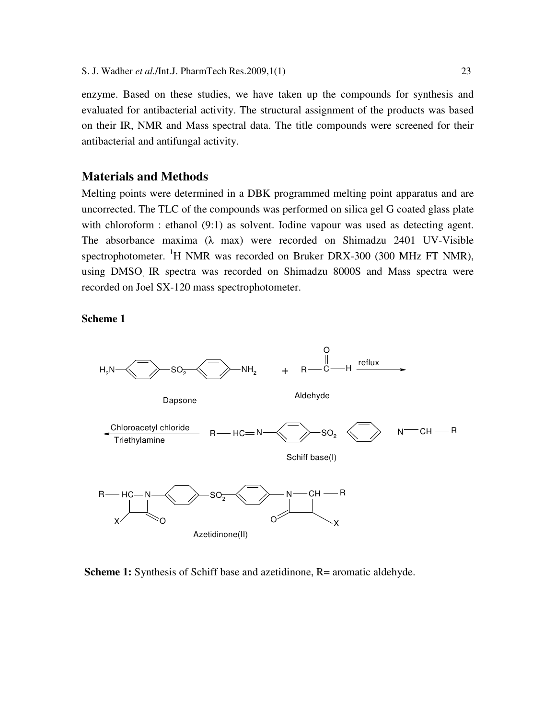enzyme. Based on these studies, we have taken up the compounds for synthesis and evaluated for antibacterial activity. The structural assignment of the products was based on their IR, NMR and Mass spectral data. The title compounds were screened for their antibacterial and antifungal activity.

#### **Materials and Methods**

Melting points were determined in a DBK programmed melting point apparatus and are uncorrected. The TLC of the compounds was performed on silica gel G coated glass plate with chloroform : ethanol (9:1) as solvent. Iodine vapour was used as detecting agent. The absorbance maxima (λ max) were recorded on Shimadzu 2401 UV-Visible spectrophotometer. <sup>1</sup>H NMR was recorded on Bruker DRX-300 (300 MHz FT NMR), using DMSO, IR spectra was recorded on Shimadzu 8000S and Mass spectra were recorded on Joel SX-120 mass spectrophotometer.

**Scheme 1** 



**Scheme 1:** Synthesis of Schiff base and azetidinone, R= aromatic aldehyde.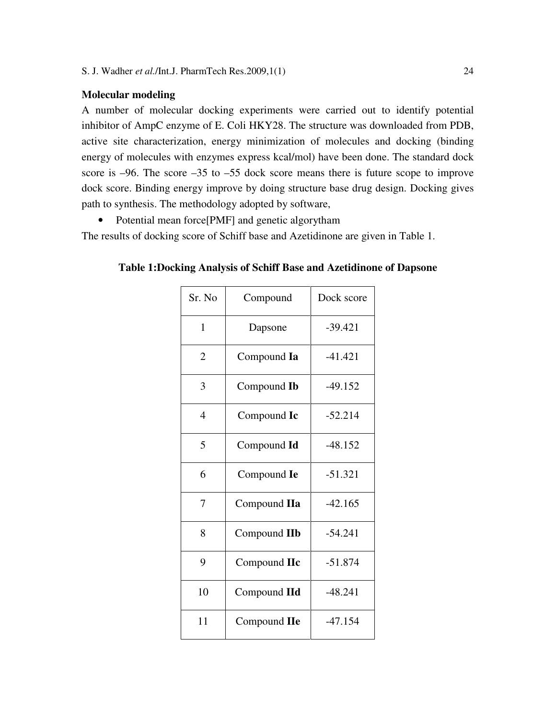#### **Molecular modeling**

A number of molecular docking experiments were carried out to identify potential inhibitor of AmpC enzyme of E. Coli HKY28. The structure was downloaded from PDB, active site characterization, energy minimization of molecules and docking (binding energy of molecules with enzymes express kcal/mol) have been done. The standard dock score is –96. The score –35 to –55 dock score means there is future scope to improve dock score. Binding energy improve by doing structure base drug design. Docking gives path to synthesis. The methodology adopted by software,

• Potential mean force [PMF] and genetic algorytham

The results of docking score of Schiff base and Azetidinone are given in Table 1.

**Table 1:Docking Analysis of Schiff Base and Azetidinone of Dapsone** 

| Sr. No                   | Compound     | Dock score |  |  |
|--------------------------|--------------|------------|--|--|
| 1                        | Dapsone      | $-39.421$  |  |  |
| 2                        | Compound Ia  | $-41.421$  |  |  |
| 3                        | Compound Ib  | $-49.152$  |  |  |
| $\overline{\mathcal{A}}$ | Compound Ic  | $-52.214$  |  |  |
| 5                        | Compound Id  | $-48.152$  |  |  |
| 6                        | Compound Ie  | $-51.321$  |  |  |
| 7                        | Compound IIa | $-42.165$  |  |  |
| 8                        | Compound IIb | $-54.241$  |  |  |
| 9                        | Compound IIc | $-51.874$  |  |  |
| 10                       | Compound IId | $-48.241$  |  |  |
| 11                       | Compound IIe | $-47.154$  |  |  |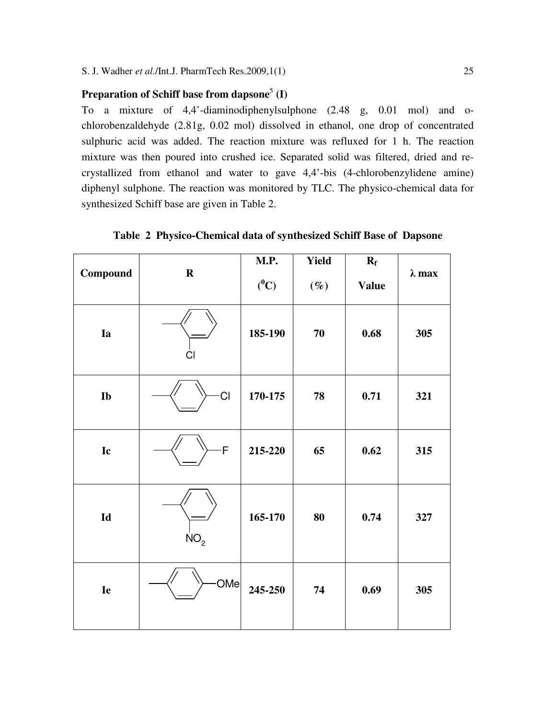### Preparation of Schiff base from dapsone<sup>5</sup> (I)

To a mixture of 4,4'-diaminodiphenylsulphone (2.48 g, 0.01 mol) and ochlorobenzaldehyde (2.81g, 0.02 mol) dissolved in ethanol, one drop of concentrated sulphuric acid was added. The reaction mixture was refluxed for 1 h. The reaction mixture was then poured into crushed ice. Separated solid was filtered, dried and recrystallized from ethanol and water to gave 4,4'-bis (4-chlorobenzylidene amine) diphenyl sulphone. The reaction was monitored by TLC. The physico-chemical data for synthesized Schiff base are given in Table 2.

| Compound      | $\mathbf R$     | M.P.<br>$(^0C)$ | Yield<br>$(\%)$ | $\mathbf{R}_{\mathrm{f}}$<br><b>Value</b> | $\lambda$ max |
|---------------|-----------------|-----------------|-----------------|-------------------------------------------|---------------|
| Ia            | C <sub>l</sub>  | 185-190         | 70              | 0.68                                      | 305           |
| Ib            | CI              | 170-175         | 78              | 0.71                                      | 321           |
| Ic            | $\mathsf F$     | 215-220         | 65              | 0.62                                      | 315           |
| $\mathbf{Id}$ | NO <sub>2</sub> | 165-170         | 80              | 0.74                                      | 327           |
| Ie            | OMe             | 245-250         | 74              | 0.69                                      | 305           |

**Table 2 Physico-Chemical data of synthesized Schiff Base of Dapsone**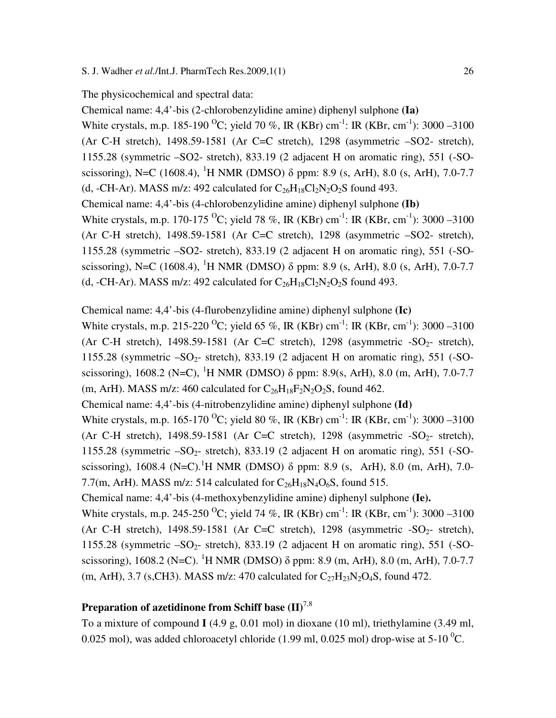#### The physicochemical and spectral data:

Chemical name: 4,4'-bis (2-chlorobenzylidine amine) diphenyl sulphone **(Ia)** White crystals, m.p. 185-190 <sup>O</sup>C; yield 70 %, IR (KBr) cm<sup>-1</sup>: IR (KBr, cm<sup>-1</sup>): 3000 –3100 (Ar C-H stretch), 1498.59-1581 (Ar C=C stretch), 1298 (asymmetric –SO2- stretch), 1155.28 (symmetric –SO2- stretch), 833.19 (2 adjacent H on aromatic ring), 551 (-SOscissoring), N=C (1608.4), <sup>1</sup>H NMR (DMSO)  $\delta$  ppm: 8.9 (s, ArH), 8.0 (s, ArH), 7.0-7.7 (d, -CH-Ar). MASS m/z: 492 calculated for  $C_{26}H_{18}Cl_2N_2O_2S$  found 493. Chemical name: 4,4'-bis (4-chlorobenzylidine amine) diphenyl sulphone **(Ib)**  White crystals, m.p. 170-175 <sup>o</sup>C; yield 78 %, IR (KBr) cm<sup>-1</sup>: IR (KBr, cm<sup>-1</sup>): 3000 –3100 (Ar C-H stretch), 1498.59-1581 (Ar C=C stretch), 1298 (asymmetric –SO2- stretch), 1155.28 (symmetric –SO2- stretch), 833.19 (2 adjacent H on aromatic ring), 551 (-SOscissoring), N=C (1608.4), <sup>1</sup>H NMR (DMSO)  $\delta$  ppm: 8.9 (s, ArH), 8.0 (s, ArH), 7.0-7.7 (d, -CH-Ar). MASS m/z: 492 calculated for  $C_{26}H_{18}Cl_2N_2O_2S$  found 493.

#### Chemical name: 4,4'-bis (4-flurobenzylidine amine) diphenyl sulphone **(Ic)**

White crystals, m.p. 215-220 <sup>O</sup>C; yield 65 %, IR (KBr) cm<sup>-1</sup>: IR (KBr, cm<sup>-1</sup>): 3000 –3100 (Ar C-H stretch), 1498.59-1581 (Ar C=C stretch), 1298 (asymmetric  $-SO<sub>2</sub>$ - stretch), 1155.28 (symmetric  $-SO_2$ - stretch), 833.19 (2 adjacent H on aromatic ring), 551 (-SOscissoring), 1608.2 (N=C), <sup>1</sup>H NMR (DMSO)  $\delta$  ppm: 8.9(s, ArH), 8.0 (m, ArH), 7.0-7.7 (m, ArH). MASS m/z: 460 calculated for  $C_{26}H_{18}F_2N_2O_2S$ , found 462.

Chemical name: 4,4'-bis (4-nitrobenzylidine amine) diphenyl sulphone **(Id)**

White crystals, m.p. 165-170 <sup>O</sup>C; yield 80 %, IR (KBr) cm<sup>-1</sup>: IR (KBr, cm<sup>-1</sup>): 3000 –3100 (Ar C-H stretch), 1498.59-1581 (Ar C=C stretch), 1298 (asymmetric  $-SO<sub>2</sub>$ - stretch), 1155.28 (symmetric  $-SO_2$ - stretch), 833.19 (2 adjacent H on aromatic ring), 551 (-SOscissoring), 1608.4 (N=C).<sup>1</sup>H NMR (DMSO)  $\delta$  ppm: 8.9 (s, ArH), 8.0 (m, ArH), 7.0-7.7(m, ArH). MASS m/z: 514 calculated for  $C_{26}H_{18}N_4O_6S$ , found 515.

Chemical name: 4,4'-bis (4-methoxybenzylidine amine) diphenyl sulphone **(Ie).** 

White crystals, m.p. 245-250 <sup>O</sup>C; yield 74 %, IR (KBr) cm<sup>-1</sup>: IR (KBr, cm<sup>-1</sup>): 3000 –3100 (Ar C-H stretch), 1498.59-1581 (Ar C=C stretch), 1298 (asymmetric  $-SO<sub>2</sub>$ - stretch), 1155.28 (symmetric  $-SO_2$ - stretch), 833.19 (2 adjacent H on aromatic ring), 551 (-SOscissoring), 1608.2 (N=C). <sup>1</sup>H NMR (DMSO)  $\delta$  ppm: 8.9 (m, ArH), 8.0 (m, ArH), 7.0-7.7 (m, ArH), 3.7 (s, CH3). MASS m/z: 470 calculated for  $C_{27}H_{23}N_2O_4S$ , found 472.

# **Preparation of azetidinone from Schiff base (II)**7,8

To a mixture of compound **I** (4.9 g, 0.01 mol) in dioxane (10 ml), triethylamine (3.49 ml, 0.025 mol), was added chloroacetyl chloride (1.99 ml, 0.025 mol) drop-wise at  $5{\text -}10^{0}$ C.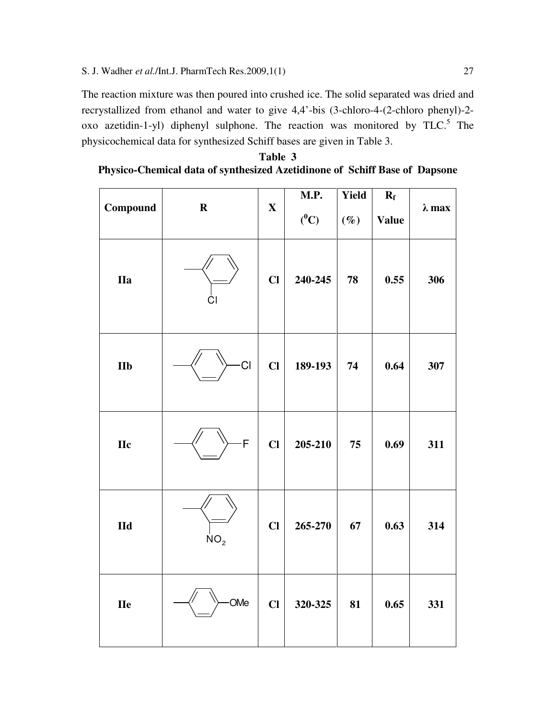The reaction mixture was then poured into crushed ice. The solid separated was dried and recrystallized from ethanol and water to give 4,4'-bis (3-chloro-4-(2-chloro phenyl)-2 oxo azetidin-1-yl) diphenyl sulphone. The reaction was monitored by  $TLC$ <sup>5</sup>. The physicochemical data for synthesized Schiff bases are given in Table 3.

| Table 3                                                                           |  |
|-----------------------------------------------------------------------------------|--|
| <b>Physico-Chemical data of synthesized Azetidinone of Schiff Base of Dapsone</b> |  |

|                         |                 |              | M.P.    | Yield  | $R_f$        |               |
|-------------------------|-----------------|--------------|---------|--------|--------------|---------------|
| Compound                | $\mathbf R$     | $\mathbf X$  | $(^0C)$ | $(\%)$ | <b>Value</b> | $\lambda$ max |
| <b>IIa</b>              | CI              | $CI$         | 240-245 | 78     | 0.55         | 306           |
| <b>IIb</b>              | CI              | $CI$         | 189-193 | 74     | 0.64         | 307           |
| <b>IIc</b>              | -F              | $CI$         | 205-210 | 75     | 0.69         | 311           |
| $\mathbf{H} \mathbf{d}$ | NO <sub>2</sub> | $CI$         | 265-270 | 67     | 0.63         | 314           |
| <b>IIe</b>              | OMe             | $\mathbf{C}$ | 320-325 | 81     | 0.65         | 331           |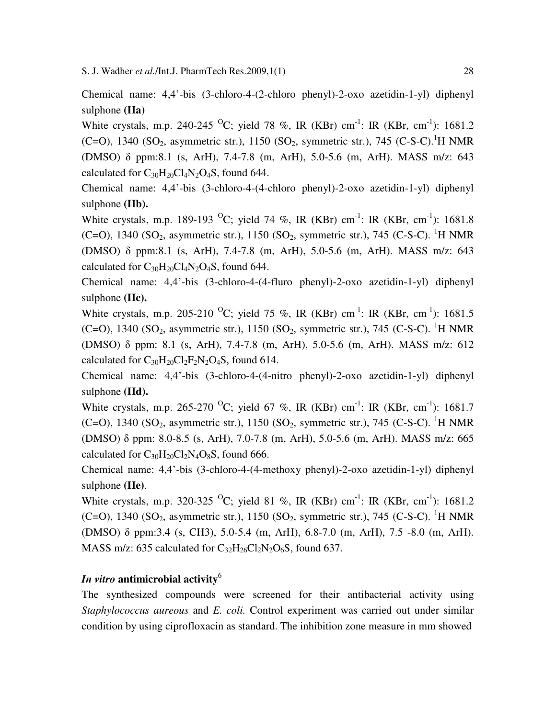Chemical name: 4,4'-bis (3-chloro-4-(2-chloro phenyl)-2-oxo azetidin-1-yl) diphenyl sulphone **(IIa)** 

White crystals, m.p. 240-245 <sup>O</sup>C; yield 78 %, IR (KBr) cm<sup>-1</sup>: IR (KBr, cm<sup>-1</sup>): 1681.2 (C=O), 1340 (SO<sub>2</sub>, asymmetric str.), 1150 (SO<sub>2</sub>, symmetric str.), 745 (C-S-C).<sup>1</sup>H NMR (DMSO) δ ppm:8.1 (s, ArH), 7.4-7.8 (m, ArH), 5.0-5.6 (m, ArH). MASS m/z: 643 calculated for  $C_{30}H_{20}Cl_4N_2O_4S$ , found 644.

Chemical name: 4,4'-bis (3-chloro-4-(4-chloro phenyl)-2-oxo azetidin-1-yl) diphenyl sulphone **(IIb).**

White crystals, m.p. 189-193 <sup>O</sup>C; yield 74 %, IR (KBr) cm<sup>-1</sup>: IR (KBr, cm<sup>-1</sup>): 1681.8 (C=O), 1340 (SO<sub>2</sub>, asymmetric str.), 1150 (SO<sub>2</sub>, symmetric str.), 745 (C-S-C). <sup>1</sup>H NMR (DMSO) δ ppm:8.1 (s, ArH), 7.4-7.8 (m, ArH), 5.0-5.6 (m, ArH). MASS m/z: 643 calculated for  $C_{30}H_{20}Cl_4N_2O_4S$ , found 644.

Chemical name: 4,4'-bis (3-chloro-4-(4-fluro phenyl)-2-oxo azetidin-1-yl) diphenyl sulphone **(IIc).**

White crystals, m.p. 205-210 <sup>O</sup>C; yield 75 %, IR (KBr) cm<sup>-1</sup>: IR (KBr, cm<sup>-1</sup>): 1681.5 (C=O), 1340 (SO<sub>2</sub>, asymmetric str.), 1150 (SO<sub>2</sub>, symmetric str.), 745 (C-S-C). <sup>1</sup>H NMR (DMSO) δ ppm: 8.1 (s, ArH), 7.4-7.8 (m, ArH), 5.0-5.6 (m, ArH). MASS m/z: 612 calculated for  $C_{30}H_{20}Cl_2F_2N_2O_4S$ , found 614.

Chemical name: 4,4'-bis (3-chloro-4-(4-nitro phenyl)-2-oxo azetidin-1-yl) diphenyl sulphone **(IId).**

White crystals, m.p. 265-270 <sup>o</sup>C; yield 67 %, IR (KBr) cm<sup>-1</sup>: IR (KBr, cm<sup>-1</sup>): 1681.7 (C=O), 1340 (SO<sub>2</sub>, asymmetric str.), 1150 (SO<sub>2</sub>, symmetric str.), 745 (C-S-C). <sup>1</sup>H NMR (DMSO) δ ppm: 8.0-8.5 (s, ArH), 7.0-7.8 (m, ArH), 5.0-5.6 (m, ArH). MASS m/z: 665 calculated for  $C_{30}H_{20}Cl_2N_4O_8S$ , found 666.

Chemical name: 4,4'-bis (3-chloro-4-(4-methoxy phenyl)-2-oxo azetidin-1-yl) diphenyl sulphone **(IIe)**.

White crystals, m.p. 320-325 <sup>O</sup>C; yield 81 %, IR (KBr) cm<sup>-1</sup>: IR (KBr, cm<sup>-1</sup>): 1681.2 (C=O), 1340 (SO<sub>2</sub>, asymmetric str.), 1150 (SO<sub>2</sub>, symmetric str.), 745 (C-S-C). <sup>1</sup>H NMR (DMSO) δ ppm:3.4 (s, CH3), 5.0-5.4 (m, ArH), 6.8-7.0 (m, ArH), 7.5 -8.0 (m, ArH). MASS m/z: 635 calculated for  $C_{32}H_{26}Cl_2N_2O_6S$ , found 637.

### *In vitro* **antimicrobial activity**<sup>6</sup>

The synthesized compounds were screened for their antibacterial activity using *Staphylococcus aureous* and *E. coli.* Control experiment was carried out under similar condition by using ciprofloxacin as standard. The inhibition zone measure in mm showed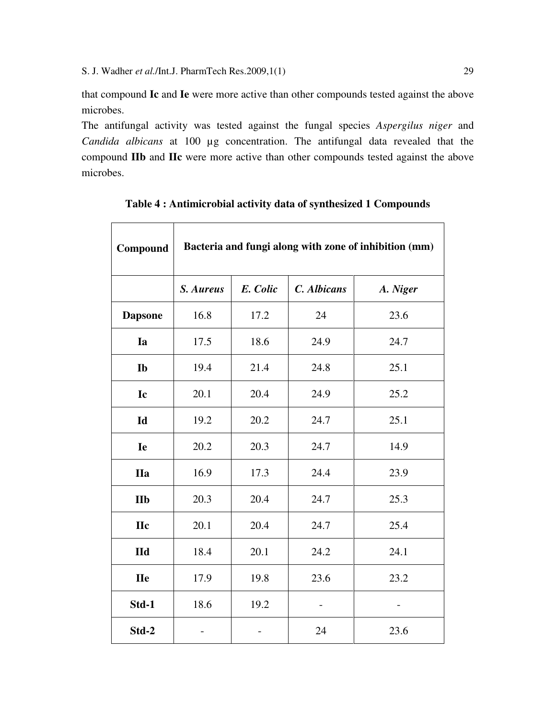$\mathsf{r}$ 

that compound **Ic** and **Ie** were more active than other compounds tested against the above microbes.

The antifungal activity was tested against the fungal species *Aspergilus niger* and *Candida albicans* at 100 µg concentration. The antifungal data revealed that the compound **IIb** and **IIc** were more active than other compounds tested against the above microbes.

| Compound       | Bacteria and fungi along with zone of inhibition (mm) |          |             |          |  |
|----------------|-------------------------------------------------------|----------|-------------|----------|--|
|                | S. Aureus                                             | E. Colic | C. Albicans | A. Niger |  |
| <b>Dapsone</b> | 16.8                                                  | 17.2     | 24          | 23.6     |  |
| Ia             | 17.5                                                  | 18.6     | 24.9        | 24.7     |  |
| Ib             | 19.4                                                  | 21.4     | 24.8        | 25.1     |  |
| Ic             | 20.1                                                  | 20.4     | 24.9        | 25.2     |  |
| Id             | 19.2                                                  | 20.2     | 24.7        | 25.1     |  |
| Ie             | 20.2                                                  | 20.3     | 24.7        | 14.9     |  |
| <b>IIa</b>     | 16.9                                                  | 17.3     | 24.4        | 23.9     |  |
| <b>IIb</b>     | 20.3                                                  | 20.4     | 24.7        | 25.3     |  |
| <b>IIc</b>     | 20.1                                                  | 20.4     | 24.7        | 25.4     |  |
| $Id$           | 18.4                                                  | 20.1     | 24.2        | 24.1     |  |
| <b>IIe</b>     | 17.9                                                  | 19.8     | 23.6        | 23.2     |  |
| Std-1          | 18.6                                                  | 19.2     |             |          |  |
| Std-2          |                                                       |          | 24          | 23.6     |  |

#### **Table 4 : Antimicrobial activity data of synthesized 1 Compounds**

 $\overline{\phantom{0}}$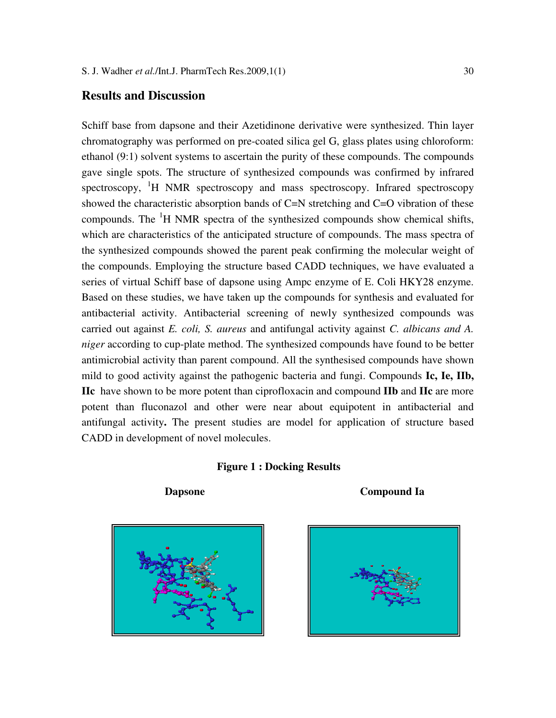#### **Results and Discussion**

Schiff base from dapsone and their Azetidinone derivative were synthesized. Thin layer chromatography was performed on pre-coated silica gel G, glass plates using chloroform: ethanol (9:1) solvent systems to ascertain the purity of these compounds. The compounds gave single spots. The structure of synthesized compounds was confirmed by infrared spectroscopy, <sup>1</sup>H NMR spectroscopy and mass spectroscopy. Infrared spectroscopy showed the characteristic absorption bands of C=N stretching and C=O vibration of these compounds. The  $H<sup>1</sup>H<sub>1</sub> NMR$  spectra of the synthesized compounds show chemical shifts, which are characteristics of the anticipated structure of compounds. The mass spectra of the synthesized compounds showed the parent peak confirming the molecular weight of the compounds. Employing the structure based CADD techniques, we have evaluated a series of virtual Schiff base of dapsone using Ampc enzyme of E. Coli HKY28 enzyme. Based on these studies, we have taken up the compounds for synthesis and evaluated for antibacterial activity. Antibacterial screening of newly synthesized compounds was carried out against *E. coli, S. aureus* and antifungal activity against *C. albicans and A. niger* according to cup-plate method. The synthesized compounds have found to be better antimicrobial activity than parent compound. All the synthesised compounds have shown mild to good activity against the pathogenic bacteria and fungi. Compounds **Ic, Ie, IIb, IIc** have shown to be more potent than ciprofloxacin and compound **IIb** and **IIc** are more potent than fluconazol and other were near about equipotent in antibacterial and antifungal activity**.** The present studies are model for application of structure based CADD in development of novel molecules.

#### **Figure 1 : Docking Results**





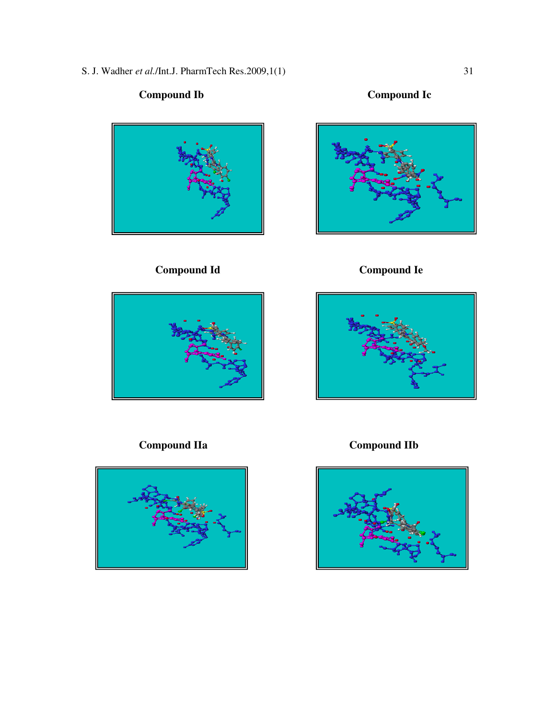S. J. Wadher *et al.*/Int.J. PharmTech Res.2009,1(1) 31

# **Compound Ib Compound Ic**



# **Compound Id Compound Ie**







 **Compound IIa Compound IIb** 

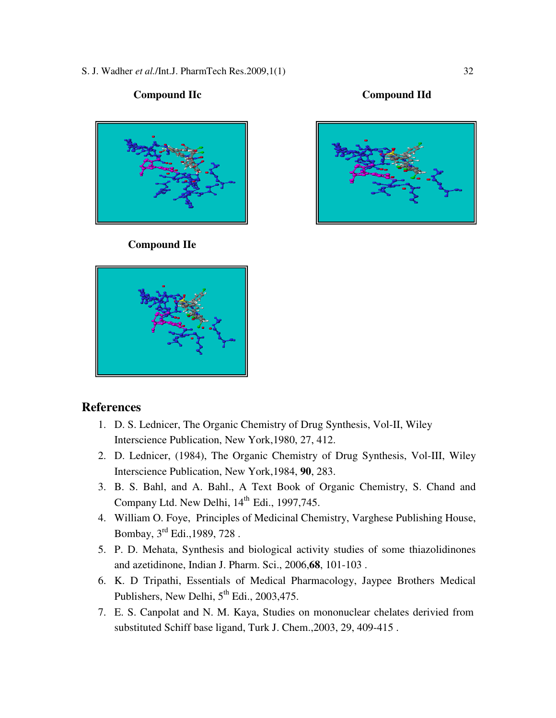S. J. Wadher *et al.*/Int.J. PharmTech Res.2009,1(1) 32



#### **Compound IIe**

# **References**

- 1. D. S. Lednicer, The Organic Chemistry of Drug Synthesis, Vol-II, Wiley Interscience Publication, New York,1980, 27, 412.
- 2. D. Lednicer, (1984), The Organic Chemistry of Drug Synthesis, Vol-III, Wiley Interscience Publication, New York,1984, **90**, 283.
- 3. B. S. Bahl, and A. Bahl., A Text Book of Organic Chemistry, S. Chand and Company Ltd. New Delhi,  $14<sup>th</sup>$  Edi., 1997, 745.
- 4. William O. Foye, Principles of Medicinal Chemistry, Varghese Publishing House, Bombay, 3rd Edi.,1989, 728 .
- 5. P. D. Mehata, Synthesis and biological activity studies of some thiazolidinones and azetidinone, Indian J. Pharm. Sci., 2006,**68**, 101-103 .
- 6. K. D Tripathi, Essentials of Medical Pharmacology, Jaypee Brothers Medical Publishers, New Delhi,  $5<sup>th</sup>$  Edi., 2003,475.
- 7. E. S. Canpolat and N. M. Kaya, Studies on mononuclear chelates derivied from substituted Schiff base ligand, Turk J. Chem.,2003, 29, 409-415 .

#### **Compound IIc Compound IId**